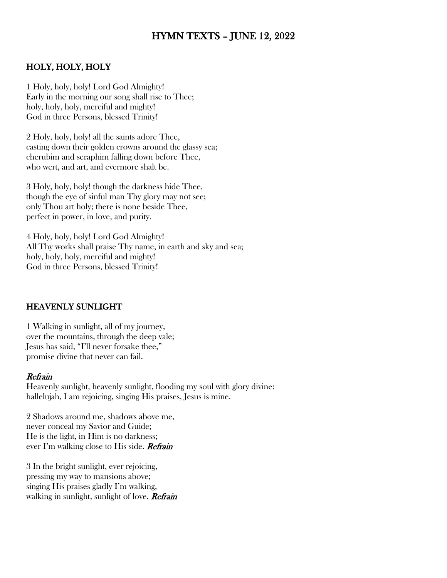# HYMN TEXTS – JUNE 12, 2022

### HOLY, HOLY, HOLY

1 Holy, holy, holy! Lord God Almighty! Early in the morning our song shall rise to Thee; holy, holy, holy, merciful and mighty! God in three Persons, blessed Trinity!

2 Holy, holy, holy! all the saints adore Thee, casting down their golden crowns around the glassy sea; cherubim and seraphim falling down before Thee, who wert, and art, and evermore shalt be.

3 Holy, holy, holy! though the darkness hide Thee, though the eye of sinful man Thy glory may not see; only Thou art holy; there is none beside Thee, perfect in power, in love, and purity.

4 Holy, holy, holy! Lord God Almighty! All Thy works shall praise Thy name, in earth and sky and sea; holy, holy, holy, merciful and mighty! God in three Persons, blessed Trinity!

#### HEAVENLY SUNLIGHT

1 Walking in sunlight, all of my journey, over the mountains, through the deep vale; Jesus has said, "I'll never forsake thee," promise divine that never can fail.

#### Refrain

Heavenly sunlight, heavenly sunlight, flooding my soul with glory divine: hallelujah, I am rejoicing, singing His praises, Jesus is mine.

2 Shadows around me, shadows above me, never conceal my Savior and Guide; He is the light, in Him is no darkness; ever I'm walking close to His side. Refrain

3 In the bright sunlight, ever rejoicing, pressing my way to mansions above; singing His praises gladly I'm walking, walking in sunlight, sunlight of love. **Refrain**